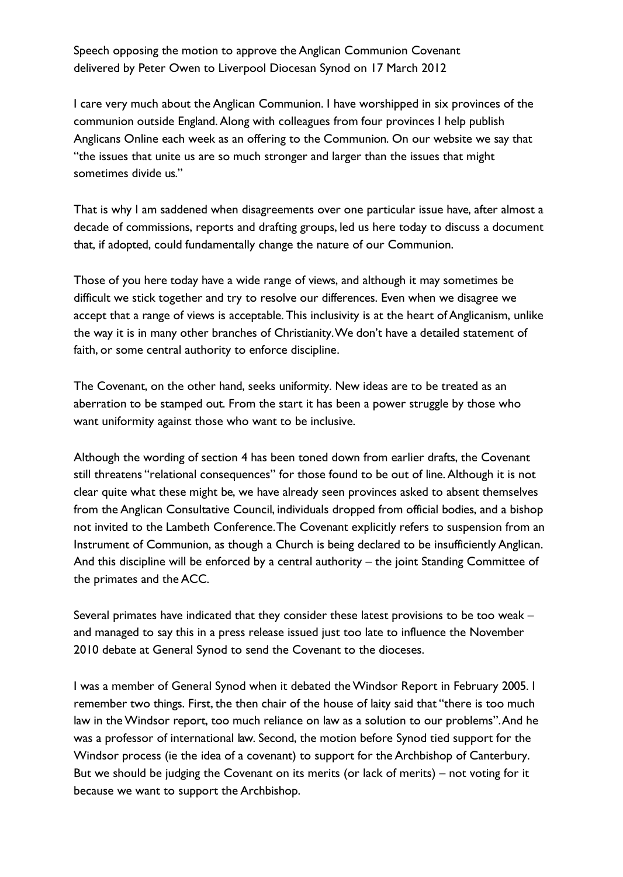Speech opposing the motion to approve the Anglican Communion Covenant delivered by Peter Owen to Liverpool Diocesan Synod on 17 March 2012

I care very much about the Anglican Communion. I have worshipped in six provinces of the communion outside England. Along with colleagues from four provinces I help publish Anglicans Online each week as an offering to the Communion. On our website we say that "the issues that unite us are so much stronger and larger than the issues that might sometimes divide us."

That is why I am saddened when disagreements over one particular issue have, after almost a decade of commissions, reports and drafting groups, led us here today to discuss a document that, if adopted, could fundamentally change the nature of our Communion.

Those of you here today have a wide range of views, and although it may sometimes be difficult we stick together and try to resolve our differences. Even when we disagree we accept that a range of views is acceptable. This inclusivity is at the heart of Anglicanism, unlike the way it is in many other branches of Christianity.We don't have a detailed statement of faith, or some central authority to enforce discipline.

The Covenant, on the other hand, seeks uniformity. New ideas are to be treated as an aberration to be stamped out. From the start it has been a power struggle by those who want uniformity against those who want to be inclusive.

Although the wording of section 4 has been toned down from earlier drafts, the Covenant still threatens "relational consequences" for those found to be out of line. Although it is not clear quite what these might be, we have already seen provinces asked to absent themselves from the Anglican Consultative Council, individuals dropped from official bodies, and a bishop not invited to the Lambeth Conference.The Covenant explicitly refers to suspension from an Instrument of Communion, as though a Church is being declared to be insufficiently Anglican. And this discipline will be enforced by a central authority – the joint Standing Committee of the primates and the ACC.

Several primates have indicated that they consider these latest provisions to be too weak – and managed to say this in a press release issued just too late to influence the November 2010 debate at General Synod to send the Covenant to the dioceses.

I was a member of General Synod when it debated the Windsor Report in February 2005. I remember two things. First, the then chair of the house of laity said that "there is too much law in the Windsor report, too much reliance on law as a solution to our problems".And he was a professor of international law. Second, the motion before Synod tied support for the Windsor process (ie the idea of a covenant) to support for the Archbishop of Canterbury. But we should be judging the Covenant on its merits (or lack of merits) – not voting for it because we want to support the Archbishop.